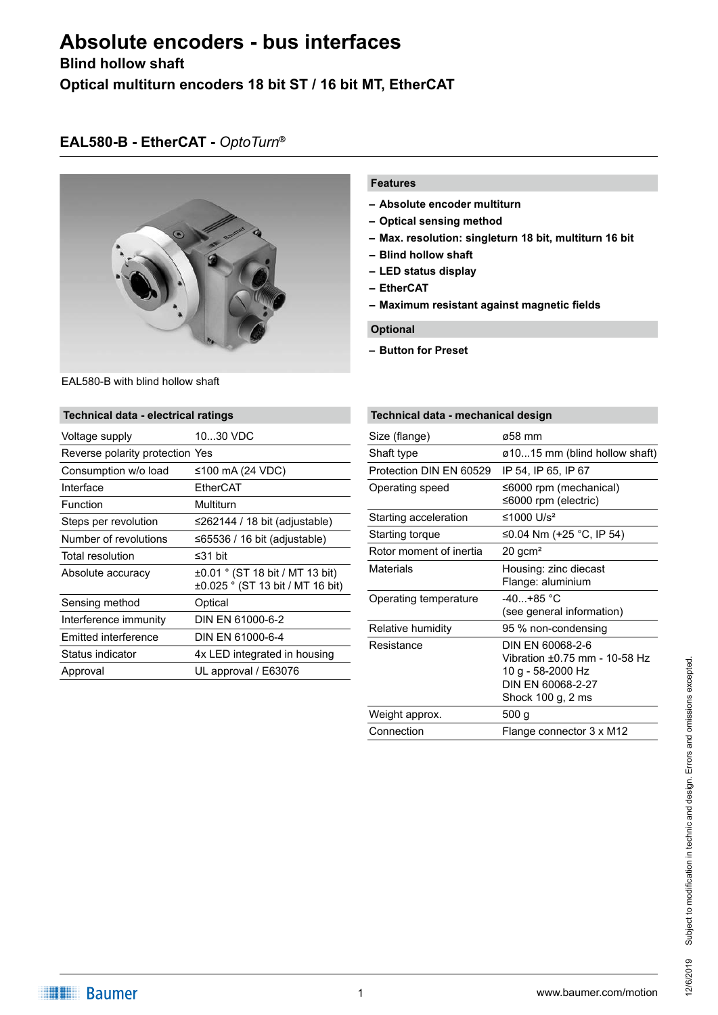# **Absolute encoders - bus interfaces**

### **Blind hollow shaft**

**Optical multiturn encoders 18 bit ST / 16 bit MT, EtherCAT**

## **EAL580-B - EtherCAT -** *OptoTurn***®**



#### EAL580-B with blind hollow shaft

| <b>Technical data - electrical ratings</b> |                                                                     |  |
|--------------------------------------------|---------------------------------------------------------------------|--|
| Voltage supply                             | 1030 VDC                                                            |  |
| Reverse polarity protection Yes            |                                                                     |  |
| Consumption w/o load                       | ≤100 mA (24 VDC)                                                    |  |
| Interface                                  | EtherCAT                                                            |  |
| Function                                   | Multiturn                                                           |  |
| Steps per revolution                       | ≤262144 / 18 bit (adjustable)                                       |  |
| Number of revolutions                      | $\leq$ 65536 / 16 bit (adjustable)                                  |  |
| Total resolution                           | ≤31 bit                                                             |  |
| Absolute accuracy                          | ±0.01 ° (ST 18 bit / MT 13 bit)<br>±0.025 ° (ST 13 bit / MT 16 bit) |  |
| Sensing method                             | Optical                                                             |  |
| Interference immunity                      | DIN EN 61000-6-2                                                    |  |
| Emitted interference                       | DIN EN 61000-6-4                                                    |  |
| Status indicator                           | 4x LED integrated in housing                                        |  |
| Approval                                   | UL approval / E63076                                                |  |
|                                            |                                                                     |  |

### **Features**

- **– Absolute encoder multiturn**
- **– Optical sensing method**
- **– Max. resolution: singleturn 18 bit, multiturn 16 bit**
- **– Blind hollow shaft**
- **– LED status display**
- **– EtherCAT**
- **– Maximum resistant against magnetic fields**

### **Optional**

**– Button for Preset**

| Technical data - mechanical design |                                                                                                                  |  |
|------------------------------------|------------------------------------------------------------------------------------------------------------------|--|
| Size (flange)                      | ø58 mm                                                                                                           |  |
| Shaft type                         | ø1015 mm (blind hollow shaft)                                                                                    |  |
| Protection DIN EN 60529            | IP 54, IP 65, IP 67                                                                                              |  |
| Operating speed                    | ≤6000 rpm (mechanical)<br>≤6000 rpm (electric)                                                                   |  |
| Starting acceleration              | ≤1000 $1/s^2$                                                                                                    |  |
| Starting torque                    | ≤0.04 Nm (+25 °C, IP 54)                                                                                         |  |
| Rotor moment of inertia            | $20$ gcm <sup>2</sup>                                                                                            |  |
| Materials                          | Housing: zinc diecast<br>Flange: aluminium                                                                       |  |
| Operating temperature              | $-40. +85$ °C<br>(see general information)                                                                       |  |
| Relative humidity                  | 95 % non-condensing                                                                                              |  |
| Resistance                         | DIN EN 60068-2-6<br>Vibration ±0.75 mm - 10-58 Hz<br>10 g - 58-2000 Hz<br>DIN FN 60068-2-27<br>Shock 100 g, 2 ms |  |
| Weight approx.                     | 500 <sub>g</sub>                                                                                                 |  |
| Connection                         | Flange connector 3 x M12                                                                                         |  |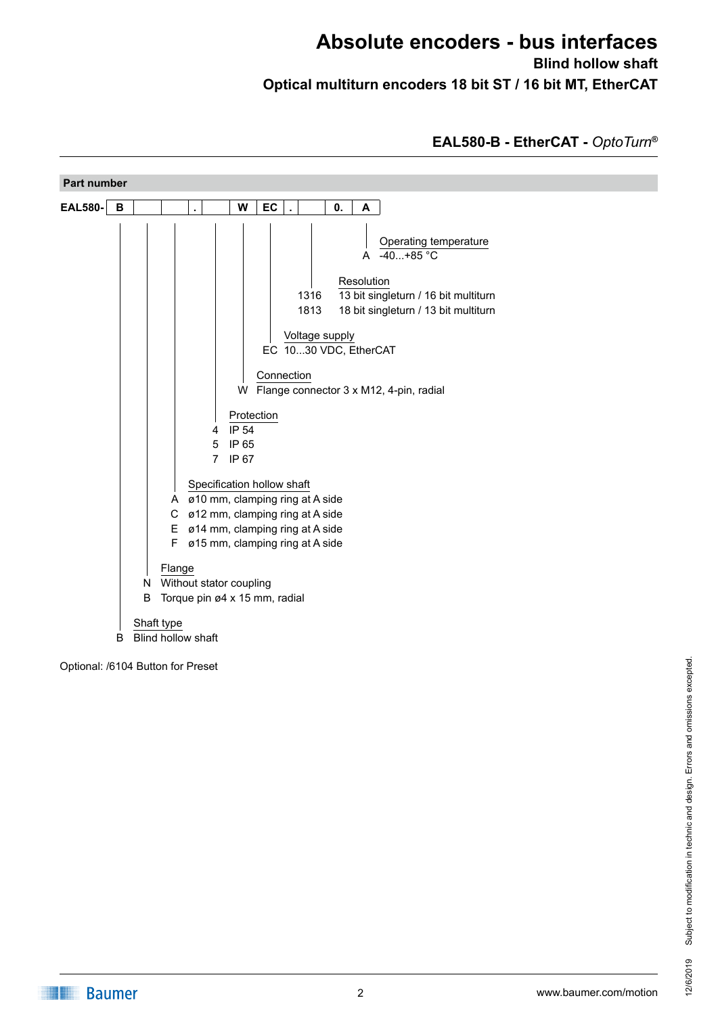## **Absolute encoders - bus interfaces Blind hollow shaft Optical multiturn encoders 18 bit ST / 16 bit MT, EtherCAT**

## **EAL580-B - EtherCAT -** *OptoTurn***®**



Optional: /6104 Button for Preset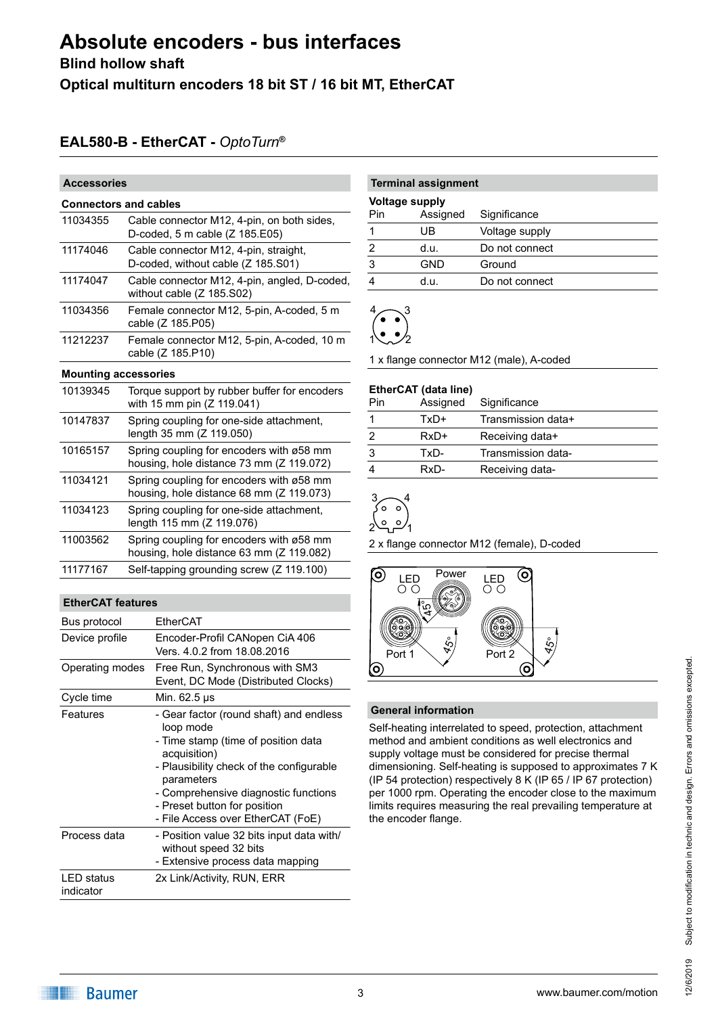# **Absolute encoders - bus interfaces**

**Blind hollow shaft**

**Optical multiturn encoders 18 bit ST / 16 bit MT, EtherCAT**

## **EAL580-B - EtherCAT -** *OptoTurn***®**

| <b>Accessories</b>           |                                                                                      |  |  |  |
|------------------------------|--------------------------------------------------------------------------------------|--|--|--|
| <b>Connectors and cables</b> |                                                                                      |  |  |  |
| 11034355                     | Cable connector M12, 4-pin, on both sides,<br>D-coded, 5 m cable (Z 185.E05)         |  |  |  |
| 11174046                     | Cable connector M12, 4-pin, straight,<br>D-coded, without cable (Z 185.S01)          |  |  |  |
| 11174047                     | Cable connector M12, 4-pin, angled, D-coded,<br>without cable $(Z 185.502)$          |  |  |  |
| 11034356                     | Female connector M12, 5-pin, A-coded, 5 m<br>cable (Z 185.P05)                       |  |  |  |
| 11212237                     | Female connector M12, 5-pin, A-coded, 10 m<br>cable (Z 185.P10)                      |  |  |  |
|                              | <b>Mounting accessories</b>                                                          |  |  |  |
| 10139345                     | Torque support by rubber buffer for encoders<br>with 15 mm pin (Z 119.041)           |  |  |  |
| 10147837                     | Spring coupling for one-side attachment,<br>length 35 mm (Z 119.050)                 |  |  |  |
| 10165157                     | Spring coupling for encoders with ø58 mm<br>housing, hole distance 73 mm (Z 119.072) |  |  |  |
| 11034121                     | Spring coupling for encoders with ø58 mm<br>housing, hole distance 68 mm (Z 119.073) |  |  |  |
| 11034123                     | Spring coupling for one-side attachment,<br>length 115 mm (Z 119.076)                |  |  |  |
| 11003562                     | Spring coupling for encoders with ø58 mm<br>housing, hole distance 63 mm (Z 119.082) |  |  |  |
| 11177167                     | Self-tapping grounding screw (Z 119.100)                                             |  |  |  |

#### **EtherCAT features**

| Bus protocol                   | EtherCAT                                                                                                                                                                                                                                                                           |
|--------------------------------|------------------------------------------------------------------------------------------------------------------------------------------------------------------------------------------------------------------------------------------------------------------------------------|
| Device profile                 | Encoder-Profil CANopen CiA 406<br>Vers. 4.0.2 from 18.08.2016                                                                                                                                                                                                                      |
| Operating modes                | Free Run, Synchronous with SM3<br>Event, DC Mode (Distributed Clocks)                                                                                                                                                                                                              |
| Cycle time                     | Min. 62.5 µs                                                                                                                                                                                                                                                                       |
| Features                       | - Gear factor (round shaft) and endless<br>loop mode<br>- Time stamp (time of position data<br>acquisition)<br>- Plausibility check of the configurable<br>parameters<br>- Comprehensive diagnostic functions<br>- Preset button for position<br>- File Access over EtherCAT (FoE) |
| Process data                   | - Position value 32 bits input data with/<br>without speed 32 bits<br>- Extensive process data mapping                                                                                                                                                                             |
| <b>LED</b> status<br>indicator | 2x Link/Activity, RUN, ERR                                                                                                                                                                                                                                                         |

## **Terminal assignment**

| <b>Voltage supply</b> |          |                |
|-----------------------|----------|----------------|
| Pin                   | Assigned | Significance   |
|                       | UB       | Voltage supply |
|                       | d.u.     | Do not connect |
|                       | GND      | Ground         |
|                       | d.u.     | Do not connect |
|                       |          |                |

### 1  $4\sim$ 3 2

1 x flange connector M12 (male), A-coded

### **EtherCAT (data line)** Pin Assigned Significance 1 TxD+ Transmission data+ 2 RxD+ Receiving data+ 3 TxD- Transmission data-4 RxD- Receiving data-



2 x flange connector M12 (female), D-coded



### **General information**

Self-heating interrelated to speed, protection, attachment method and ambient conditions as well electronics and supply voltage must be considered for precise thermal dimensioning. Self-heating is supposed to approximates 7 K (IP 54 protection) respectively 8 K (IP 65 / IP 67 protection) per 1000 rpm. Operating the encoder close to the maximum limits requires measuring the real prevailing temperature at the encoder flange.